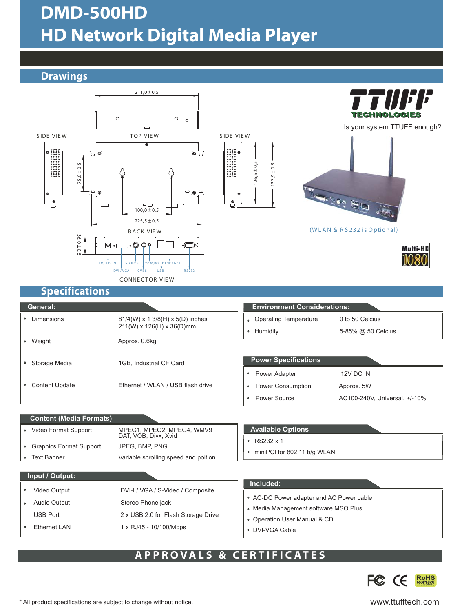## DMD-500HD HD Network Digital Media Player

#### **Drawings**



#### APPROVALS & CERTIFIC ATES



\* All product specifications are subject to change without notice. www.ttufftech.com